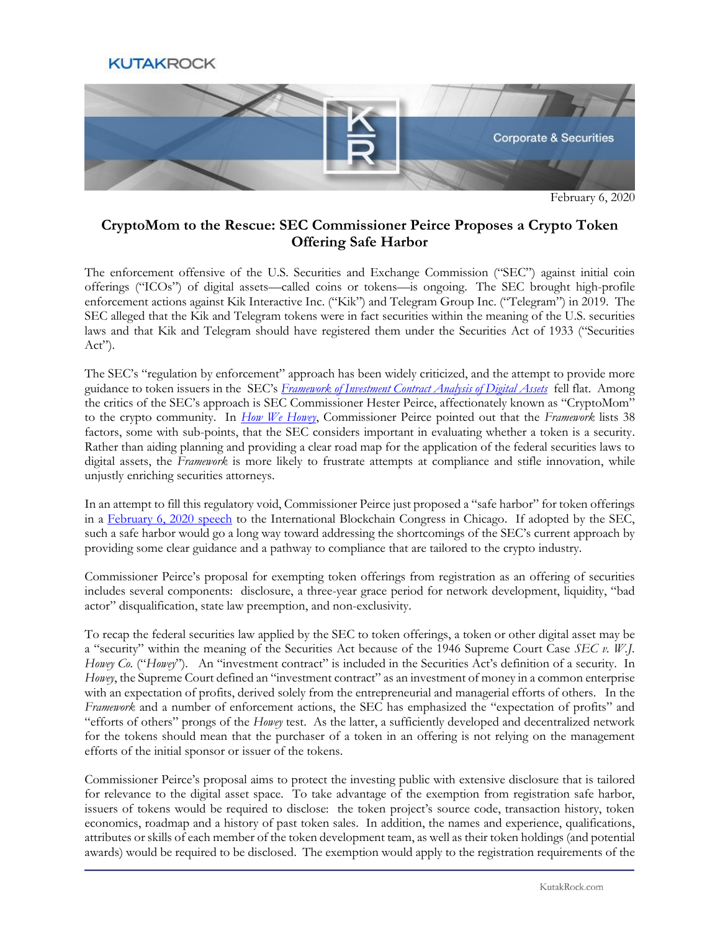## **KUTAKROCK**



February 6, 2020

## **CryptoMom to the Rescue: SEC Commissioner Peirce Proposes a Crypto Token Offering Safe Harbor**

The enforcement offensive of the U.S. Securities and Exchange Commission ("SEC") against initial coin offerings ("ICOs") of digital assets—called coins or tokens—is ongoing. The SEC brought high-profile enforcement actions against Kik Interactive Inc. ("Kik") and Telegram Group Inc. ("Telegram") in 2019. The SEC alleged that the Kik and Telegram tokens were in fact securities within the meaning of the U.S. securities laws and that Kik and Telegram should have registered them under the Securities Act of 1933 ("Securities  $Act$ ").

The SEC's "regulation by enforcement" approach has been widely criticized, and the attempt to provide more guidance to token issuers in the SEC's *[Framework of Investment Contract Analysis of Digital Assets](https://www.sec.gov/corpfin/framework-investment-contract-analysis-digital-assets)* fell flat. Among the critics of the SEC's approach is SEC Commissioner Hester Peirce, affectionately known as "CryptoMom" to the crypto community. In *[How We Howey](https://www.sec.gov/news/speech/peirce-how-we-howey-050919)*, Commissioner Peirce pointed out that the *Framework* lists 38 factors, some with sub-points, that the SEC considers important in evaluating whether a token is a security. Rather than aiding planning and providing a clear road map for the application of the federal securities laws to digital assets, the *Framework* is more likely to frustrate attempts at compliance and stifle innovation, while unjustly enriching securities attorneys.

In an attempt to fill this regulatory void, Commissioner Peirce just proposed a "safe harbor" for token offerings in a [February 6, 2020 speech](https://www.coindesk.com/sec-commissioner-hester-peirce-proposes-3-year-safe-harbor-period-for-crypto-token-sales) to the International Blockchain Congress in Chicago. If adopted by the SEC, such a safe harbor would go a long way toward addressing the shortcomings of the SEC's current approach by providing some clear guidance and a pathway to compliance that are tailored to the crypto industry.

Commissioner Peirce's proposal for exempting token offerings from registration as an offering of securities includes several components: disclosure, a three-year grace period for network development, liquidity, "bad actor" disqualification, state law preemption, and non-exclusivity.

To recap the federal securities law applied by the SEC to token offerings, a token or other digital asset may be a "security" within the meaning of the Securities Act because of the 1946 Supreme Court Case *SEC v. W.J. Howey Co.* ("*Howey*"). An "investment contract" is included in the Securities Act's definition of a security. In *Howey*, the Supreme Court defined an "investment contract" as an investment of money in a common enterprise with an expectation of profits, derived solely from the entrepreneurial and managerial efforts of others. In the *Framework* and a number of enforcement actions, the SEC has emphasized the "expectation of profits" and "efforts of others" prongs of the *Howey* test. As the latter, a sufficiently developed and decentralized network for the tokens should mean that the purchaser of a token in an offering is not relying on the management efforts of the initial sponsor or issuer of the tokens.

Commissioner Peirce's proposal aims to protect the investing public with extensive disclosure that is tailored for relevance to the digital asset space. To take advantage of the exemption from registration safe harbor, issuers of tokens would be required to disclose: the token project's source code, transaction history, token economics, roadmap and a history of past token sales. In addition, the names and experience, qualifications, attributes or skills of each member of the token development team, as well as their token holdings (and potential awards) would be required to be disclosed. The exemption would apply to the registration requirements of the